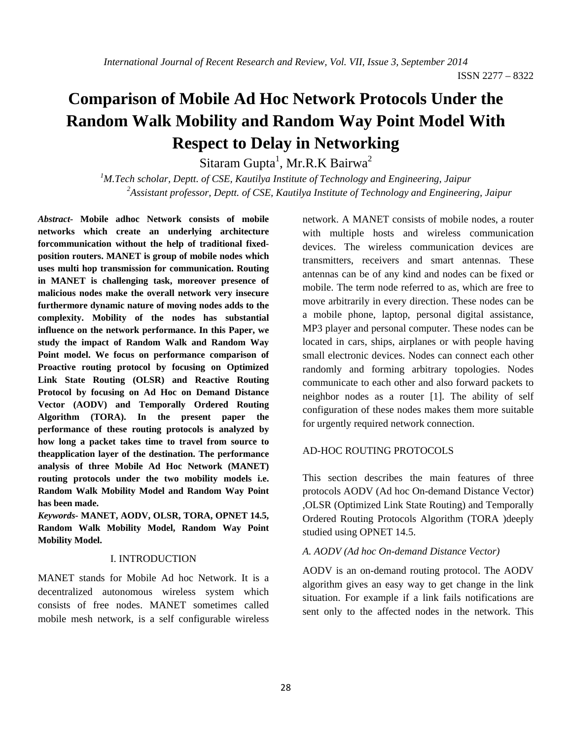# **Comparison of Mobile Ad Hoc Network Protocols Under the Random Walk Mobility and Random Way Point Model With Respect to Delay in Networking**

Sitaram Gupta<sup>1</sup>, Mr.R.K Bairwa<sup>2</sup>

<sup>1</sup>M.Tech scholar, Deptt. of CSE, Kautilya Institute of Technology and Engineering, Jaipur *2 Assistant professor, Deptt. of CSE, Kautilya Institute of Technology and Engineering, Jaipur* 

*Abstract-* **Mobile adhoc Network consists of mobile networks which create an underlying architecture forcommunication without the help of traditional fixedposition routers. MANET is group of mobile nodes which uses multi hop transmission for communication. Routing in MANET is challenging task, moreover presence of malicious nodes make the overall network very insecure furthermore dynamic nature of moving nodes adds to the complexity. Mobility of the nodes has substantial influence on the network performance. In this Paper, we study the impact of Random Walk and Random Way Point model. We focus on performance comparison of Proactive routing protocol by focusing on Optimized Link State Routing (OLSR) and Reactive Routing Protocol by focusing on Ad Hoc on Demand Distance Vector (AODV) and Temporally Ordered Routing Algorithm (TORA). In the present paper the performance of these routing protocols is analyzed by how long a packet takes time to travel from source to theapplication layer of the destination. The performance analysis of three Mobile Ad Hoc Network (MANET) routing protocols under the two mobility models i.e. Random Walk Mobility Model and Random Way Point has been made.** 

*Keywords-* **MANET, AODV, OLSR, TORA, OPNET 14.5, Random Walk Mobility Model, Random Way Point Mobility Model.**

## I. INTRODUCTION

MANET stands for Mobile Ad hoc Network. It is a decentralized autonomous wireless system which consists of free nodes. MANET sometimes called mobile mesh network, is a self configurable wireless

network. A MANET consists of mobile nodes, a router with multiple hosts and wireless communication devices. The wireless communication devices are transmitters, receivers and smart antennas. These antennas can be of any kind and nodes can be fixed or mobile. The term node referred to as, which are free to move arbitrarily in every direction. These nodes can be a mobile phone, laptop, personal digital assistance, MP3 player and personal computer. These nodes can be located in cars, ships, airplanes or with people having small electronic devices. Nodes can connect each other randomly and forming arbitrary topologies. Nodes communicate to each other and also forward packets to neighbor nodes as a router [1]. The ability of self configuration of these nodes makes them more suitable for urgently required network connection.

## AD-HOC ROUTING PROTOCOLS

This section describes the main features of three protocols AODV (Ad hoc On-demand Distance Vector) ,OLSR (Optimized Link State Routing) and Temporally Ordered Routing Protocols Algorithm (TORA )deeply studied using OPNET 14.5.

## *A. AODV (Ad hoc On-demand Distance Vector)*

AODV is an on-demand routing protocol. The AODV algorithm gives an easy way to get change in the link situation. For example if a link fails notifications are sent only to the affected nodes in the network. This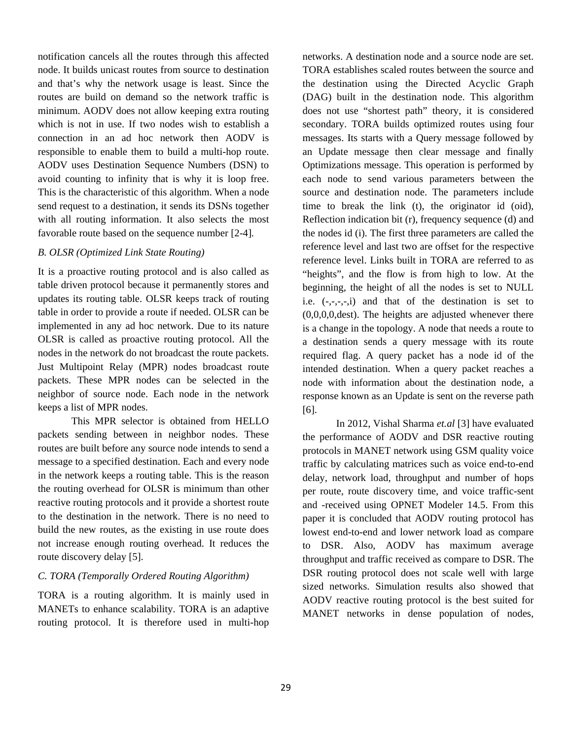notification cancels all the routes through this affected node. It builds unicast routes from source to destination and that's why the network usage is least. Since the routes are build on demand so the network traffic is minimum. AODV does not allow keeping extra routing which is not in use. If two nodes wish to establish a connection in an ad hoc network then AODV is responsible to enable them to build a multi-hop route. AODV uses Destination Sequence Numbers (DSN) to avoid counting to infinity that is why it is loop free. This is the characteristic of this algorithm. When a node send request to a destination, it sends its DSNs together with all routing information. It also selects the most favorable route based on the sequence number [2-4].

## *B. OLSR (Optimized Link State Routing)*

It is a proactive routing protocol and is also called as table driven protocol because it permanently stores and updates its routing table. OLSR keeps track of routing table in order to provide a route if needed. OLSR can be implemented in any ad hoc network. Due to its nature OLSR is called as proactive routing protocol. All the nodes in the network do not broadcast the route packets. Just Multipoint Relay (MPR) nodes broadcast route packets. These MPR nodes can be selected in the neighbor of source node. Each node in the network keeps a list of MPR nodes.

This MPR selector is obtained from HELLO packets sending between in neighbor nodes. These routes are built before any source node intends to send a message to a specified destination. Each and every node in the network keeps a routing table. This is the reason the routing overhead for OLSR is minimum than other reactive routing protocols and it provide a shortest route to the destination in the network. There is no need to build the new routes, as the existing in use route does not increase enough routing overhead. It reduces the route discovery delay [5].

# *C. TORA (Temporally Ordered Routing Algorithm)*

TORA is a routing algorithm. It is mainly used in MANETs to enhance scalability. TORA is an adaptive routing protocol. It is therefore used in multi-hop

networks. A destination node and a source node are set. TORA establishes scaled routes between the source and the destination using the Directed Acyclic Graph (DAG) built in the destination node. This algorithm does not use "shortest path" theory, it is considered secondary. TORA builds optimized routes using four messages. Its starts with a Query message followed by an Update message then clear message and finally Optimizations message. This operation is performed by each node to send various parameters between the source and destination node. The parameters include time to break the link (t), the originator id (oid), Reflection indication bit (r), frequency sequence (d) and the nodes id (i). The first three parameters are called the reference level and last two are offset for the respective reference level. Links built in TORA are referred to as "heights", and the flow is from high to low. At the beginning, the height of all the nodes is set to NULL i.e.  $(-,-,-,i)$  and that of the destination is set to (0,0,0,0,dest). The heights are adjusted whenever there is a change in the topology. A node that needs a route to a destination sends a query message with its route required flag. A query packet has a node id of the intended destination. When a query packet reaches a node with information about the destination node, a response known as an Update is sent on the reverse path [6].

In 2012, Vishal Sharma *et.al* [3] have evaluated the performance of AODV and DSR reactive routing protocols in MANET network using GSM quality voice traffic by calculating matrices such as voice end-to-end delay, network load, throughput and number of hops per route, route discovery time, and voice traffic-sent and -received using OPNET Modeler 14.5. From this paper it is concluded that AODV routing protocol has lowest end-to-end and lower network load as compare to DSR. Also, AODV has maximum average throughput and traffic received as compare to DSR. The DSR routing protocol does not scale well with large sized networks. Simulation results also showed that AODV reactive routing protocol is the best suited for MANET networks in dense population of nodes,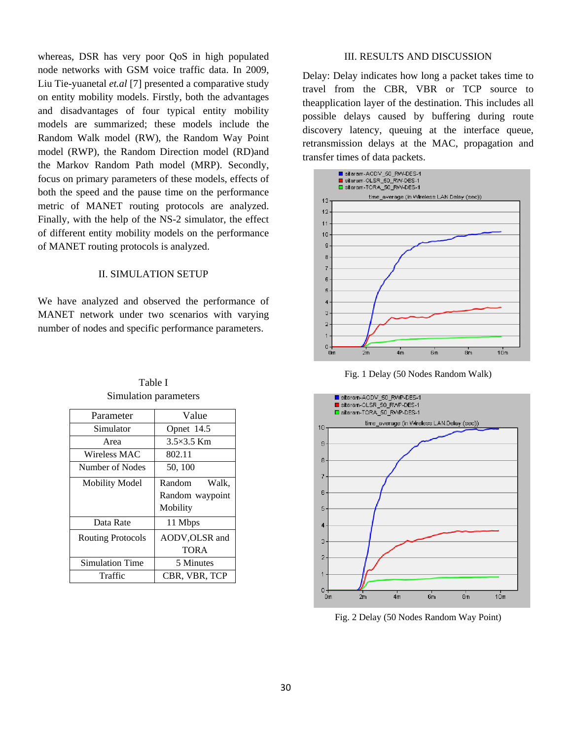whereas, DSR has very poor QoS in high populated node networks with GSM voice traffic data. In 2009, Liu Tie-yuanetal *et.al* [7] presented a comparative study on entity mobility models. Firstly, both the advantages and disadvantages of four typical entity mobility models are summarized; these models include the Random Walk model (RW), the Random Way Point model (RWP), the Random Direction model (RD)and the Markov Random Path model (MRP). Secondly, focus on primary parameters of these models, effects of both the speed and the pause time on the performance metric of MANET routing protocols are analyzed. Finally, with the help of the NS-2 simulator, the effect of different entity mobility models on the performance of MANET routing protocols is analyzed.

## II. SIMULATION SETUP

We have analyzed and observed the performance of MANET network under two scenarios with varying number of nodes and specific performance parameters.

| Parameter                | Value             |  |  |  |
|--------------------------|-------------------|--|--|--|
| Simulator                | Opnet 14.5        |  |  |  |
| Area                     | $3.5\times3.5$ Km |  |  |  |
| Wireless MAC             | 802.11            |  |  |  |
| Number of Nodes          | 50, 100           |  |  |  |
| <b>Mobility Model</b>    | Walk.<br>Random   |  |  |  |
|                          | Random waypoint   |  |  |  |
|                          | Mobility          |  |  |  |
| Data Rate                | 11 Mbps           |  |  |  |
| <b>Routing Protocols</b> | AODV, OLSR and    |  |  |  |
|                          | <b>TORA</b>       |  |  |  |
| <b>Simulation Time</b>   | 5 Minutes         |  |  |  |
| Traffic                  | CBR, VBR, TCP     |  |  |  |

Table I Simulation parameters

### III. RESULTS AND DISCUSSION

Delay: Delay indicates how long a packet takes time to travel from the CBR, VBR or TCP source to theapplication layer of the destination. This includes all possible delays caused by buffering during route discovery latency, queuing at the interface queue, retransmission delays at the MAC, propagation and transfer times of data packets.







Fig. 2 Delay (50 Nodes Random Way Point)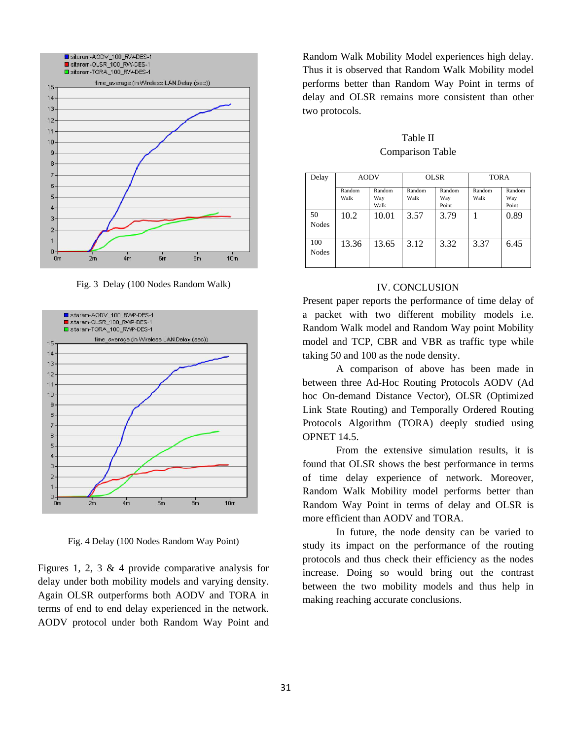

Fig. 3 Delay (100 Nodes Random Walk)



Fig. 4 Delay (100 Nodes Random Way Point)

Figures 1, 2, 3  $\&$  4 provide comparative analysis for delay under both mobility models and varying density. Again OLSR outperforms both AODV and TORA in terms of end to end delay experienced in the network. AODV protocol under both Random Way Point and

Random Walk Mobility Model experiences high delay. Thus it is observed that Random Walk Mobility model performs better than Random Way Point in terms of delay and OLSR remains more consistent than other two protocols.

Table II Comparison Table

| Delay               | <b>AODV</b>    |                       | <b>OLSR</b>    |                        | <b>TORA</b>    |                        |
|---------------------|----------------|-----------------------|----------------|------------------------|----------------|------------------------|
|                     | Random<br>Walk | Random<br>Way<br>Walk | Random<br>Walk | Random<br>Way<br>Point | Random<br>Walk | Random<br>Way<br>Point |
| 50<br><b>Nodes</b>  | 10.2           | 10.01                 | 3.57           | 3.79                   |                | 0.89                   |
| 100<br><b>Nodes</b> | 13.36          | 13.65                 | 3.12           | 3.32                   | 3.37           | 6.45                   |

## IV. CONCLUSION

Present paper reports the performance of time delay of a packet with two different mobility models i.e. Random Walk model and Random Way point Mobility model and TCP, CBR and VBR as traffic type while taking 50 and 100 as the node density.

A comparison of above has been made in between three Ad-Hoc Routing Protocols AODV (Ad hoc On-demand Distance Vector), OLSR (Optimized Link State Routing) and Temporally Ordered Routing Protocols Algorithm (TORA) deeply studied using OPNET 14.5.

From the extensive simulation results, it is found that OLSR shows the best performance in terms of time delay experience of network. Moreover, Random Walk Mobility model performs better than Random Way Point in terms of delay and OLSR is more efficient than AODV and TORA.

In future, the node density can be varied to study its impact on the performance of the routing protocols and thus check their efficiency as the nodes increase. Doing so would bring out the contrast between the two mobility models and thus help in making reaching accurate conclusions.